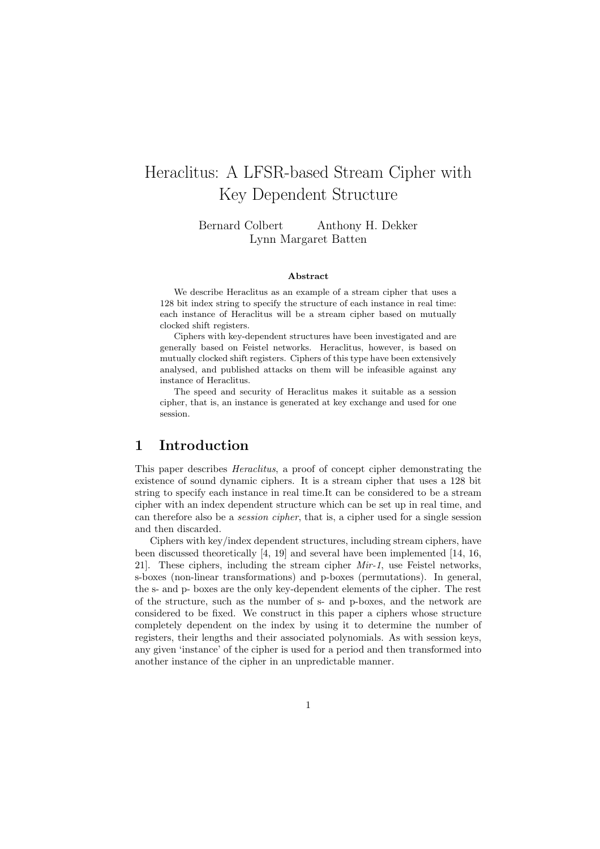# Heraclitus: A LFSR-based Stream Cipher with Key Dependent Structure

Bernard Colbert Anthony H. Dekker Lynn Margaret Batten

#### Abstract

We describe Heraclitus as an example of a stream cipher that uses a 128 bit index string to specify the structure of each instance in real time: each instance of Heraclitus will be a stream cipher based on mutually clocked shift registers.

Ciphers with key-dependent structures have been investigated and are generally based on Feistel networks. Heraclitus, however, is based on mutually clocked shift registers. Ciphers of this type have been extensively analysed, and published attacks on them will be infeasible against any instance of Heraclitus.

The speed and security of Heraclitus makes it suitable as a session cipher, that is, an instance is generated at key exchange and used for one session.

### 1 Introduction

This paper describes Heraclitus, a proof of concept cipher demonstrating the existence of sound dynamic ciphers. It is a stream cipher that uses a 128 bit string to specify each instance in real time.It can be considered to be a stream cipher with an index dependent structure which can be set up in real time, and can therefore also be a session cipher, that is, a cipher used for a single session and then discarded.

Ciphers with key/index dependent structures, including stream ciphers, have been discussed theoretically [4, 19] and several have been implemented [14, 16, 21. These ciphers, including the stream cipher  $Mir-1$ , use Feistel networks, s-boxes (non-linear transformations) and p-boxes (permutations). In general, the s- and p- boxes are the only key-dependent elements of the cipher. The rest of the structure, such as the number of s- and p-boxes, and the network are considered to be fixed. We construct in this paper a ciphers whose structure completely dependent on the index by using it to determine the number of registers, their lengths and their associated polynomials. As with session keys, any given 'instance' of the cipher is used for a period and then transformed into another instance of the cipher in an unpredictable manner.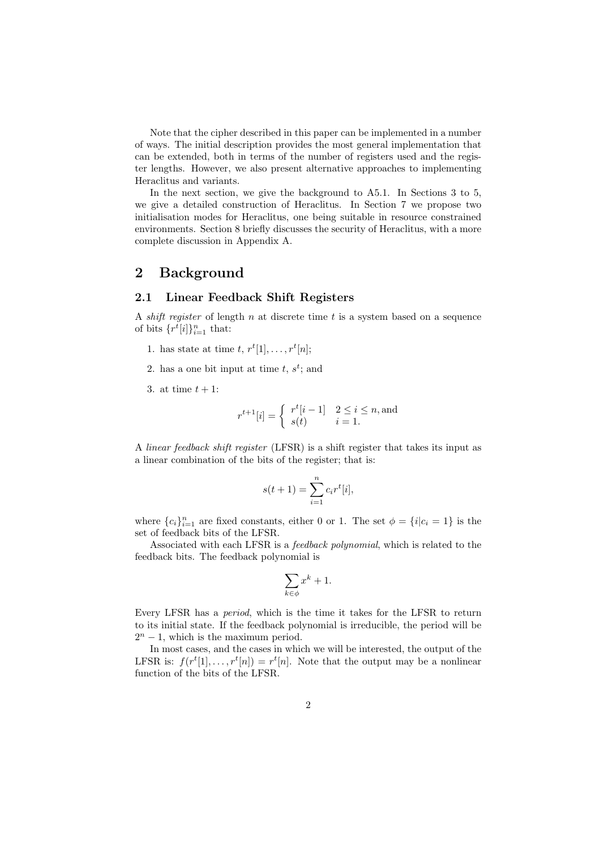Note that the cipher described in this paper can be implemented in a number of ways. The initial description provides the most general implementation that can be extended, both in terms of the number of registers used and the register lengths. However, we also present alternative approaches to implementing Heraclitus and variants.

In the next section, we give the background to A5.1. In Sections 3 to 5, we give a detailed construction of Heraclitus. In Section 7 we propose two initialisation modes for Heraclitus, one being suitable in resource constrained environments. Section 8 briefly discusses the security of Heraclitus, with a more complete discussion in Appendix A.

### 2 Background

#### 2.1 Linear Feedback Shift Registers

A shift register of length  $n$  at discrete time  $t$  is a system based on a sequence of bits  $\{r^t[i]\}_{i=1}^n$  that:

- 1. has state at time  $t, r^t[1], \ldots, r^t[n];$
- 2. has a one bit input at time  $t, s^t$ ; and
- 3. at time  $t + 1$ :

$$
r^{t+1}[i] = \begin{cases} r^t[i-1] & 2 \le i \le n, \text{and} \\ s(t) & i = 1. \end{cases}
$$

A linear feedback shift register (LFSR) is a shift register that takes its input as a linear combination of the bits of the register; that is:

$$
s(t+1) = \sum_{i=1}^{n} c_i r^t[i],
$$

where  ${c_i}_{i=1}^n$  are fixed constants, either 0 or 1. The set  $\phi = {i|c_i = 1}$  is the set of feedback bits of the LFSR.

Associated with each LFSR is a feedback polynomial, which is related to the feedback bits. The feedback polynomial is

$$
\sum_{k \in \phi} x^k + 1.
$$

Every LFSR has a period, which is the time it takes for the LFSR to return to its initial state. If the feedback polynomial is irreducible, the period will be  $2^n - 1$ , which is the maximum period.

In most cases, and the cases in which we will be interested, the output of the LFSR is:  $f(r^t[1], \ldots, r^t[n]) = r^t[n]$ . Note that the output may be a nonlinear function of the bits of the LFSR.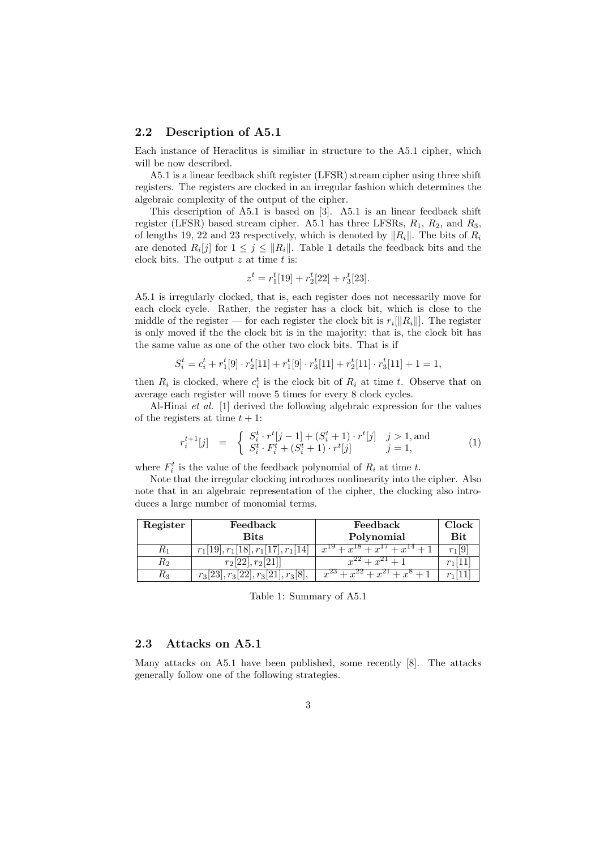#### 2.2 Description of A5.1

Each instance of Heraclitus is similiar in structure to the A5.1 cipher, which will be now described.

A5.1 is a linear feedback shift register (LFSR) stream cipher using three shift registers. The registers are clocked in an irregular fashion which determines the algebraic complexity of the output of the cipher.

This description of A5.1 is based on [3]. A5.1 is an linear feedback shift register (LFSR) based stream cipher. A5.1 has three LFSRs,  $R_1$ ,  $R_2$ , and  $R_3$ , of lengths 19, 22 and 23 respectively, which is denoted by  $||R_i||$ . The bits of  $R_i$ are denoted  $R_i[j]$  for  $1 \leq j \leq ||R_i||$ . Table 1 details the feedback bits and the clock bits. The output  $z$  at time  $t$  is:

$$
z^t = r_1^t[19] + r_2^t[22] + r_3^t[23].
$$

A5.1 is irregularly clocked, that is, each register does not necessarily move for each clock cycle. Rather, the register has a clock bit, which is close to the middle of the register — for each register the clock bit is  $r_i[||R_i||]$ . The register is only moved if the the clock bit is in the majority: that is, the clock bit has the same value as one of the other two clock bits. That is if

$$
S_i^t = c_i^t + r_1^t[9] \cdot r_2^t[11] + r_1^t[9] \cdot r_3^t[11] + r_2^t[11] \cdot r_3^t[11] + 1 = 1,
$$

then  $R_i$  is clocked, where  $c_i^t$  is the clock bit of  $R_i$  at time t. Observe that on average each register will move 5 times for every 8 clock cycles.

Al-Hinai et al. [1] derived the following algebraic expression for the values of the registers at time  $t + 1$ :

$$
r_i^{t+1}[j] = \begin{cases} S_i^t \cdot r^t[j-1] + (S_i^t + 1) \cdot r^t[j] & j > 1, \text{and} \\ S_i^t \cdot F_i^t + (S_i^t + 1) \cdot r^t[j] & j = 1, \end{cases}
$$
(1)

where  $F_i^t$  is the value of the feedback polynomial of  $R_i$  at time t.

Note that the irregular clocking introduces nonlinearity into the cipher. Also note that in an algebraic representation of the cipher, the clocking also introduces a large number of monomial terms.

| Register | Feedback                             | Feedback                              | Clock         |
|----------|--------------------------------------|---------------------------------------|---------------|
|          | <b>Bits</b>                          | Polynomial                            | $_{\rm{Bit}}$ |
| rι       | $r_1[19], r_1[18], r_1[17], r_1[14]$ | $x^{19}$<br>$+ r^{10} + r^{11}$       | $r_1 9 $      |
| K2       | $r_2[22], r_2[21]$                   | $r^{22} + r^{21} +$                   |               |
| K3       | $r_3[23], r_3[22], r_3[21], r_3[8],$ | $x^{23}$<br>$r^{22}$<br>$\gamma^{21}$ |               |

Table 1: Summary of A5.1

### 2.3 Attacks on A5.1

Many attacks on A5.1 have been published, some recently [8]. The attacks generally follow one of the following strategies.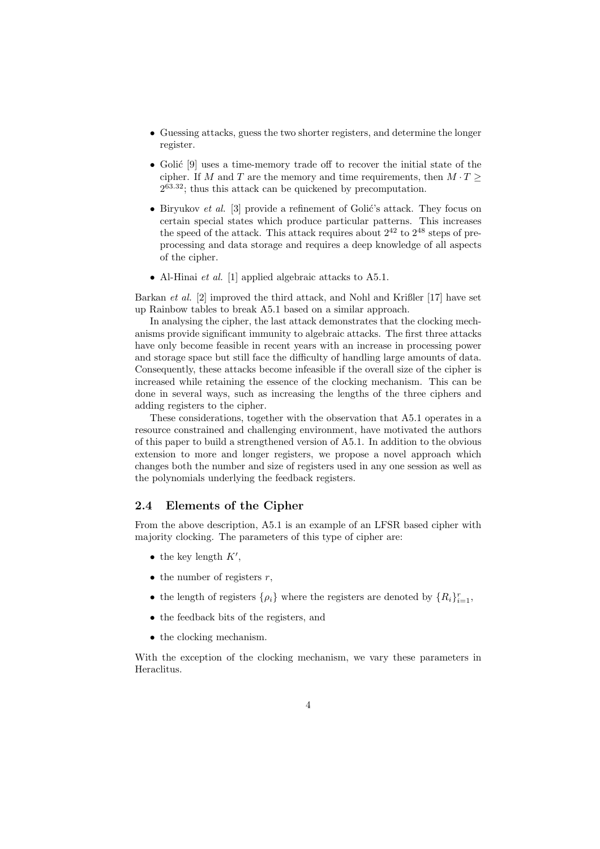- Guessing attacks, guess the two shorter registers, and determine the longer register.
- Golić [9] uses a time-memory trade off to recover the initial state of the cipher. If M and T are the memory and time requirements, then  $M \cdot T \geq$ 2 <sup>63</sup>.<sup>32</sup>; thus this attack can be quickened by precomputation.
- Biryukov *et al.* [3] provide a refinement of Golić's attack. They focus on certain special states which produce particular patterns. This increases the speed of the attack. This attack requires about  $2^{42}$  to  $2^{48}$  steps of preprocessing and data storage and requires a deep knowledge of all aspects of the cipher.
- Al-Hinai *et al.* [1] applied algebraic attacks to A5.1.

Barkan et al. [2] improved the third attack, and Nohl and Krißler [17] have set up Rainbow tables to break A5.1 based on a similar approach.

In analysing the cipher, the last attack demonstrates that the clocking mechanisms provide significant immunity to algebraic attacks. The first three attacks have only become feasible in recent years with an increase in processing power and storage space but still face the difficulty of handling large amounts of data. Consequently, these attacks become infeasible if the overall size of the cipher is increased while retaining the essence of the clocking mechanism. This can be done in several ways, such as increasing the lengths of the three ciphers and adding registers to the cipher.

These considerations, together with the observation that A5.1 operates in a resource constrained and challenging environment, have motivated the authors of this paper to build a strengthened version of A5.1. In addition to the obvious extension to more and longer registers, we propose a novel approach which changes both the number and size of registers used in any one session as well as the polynomials underlying the feedback registers.

### 2.4 Elements of the Cipher

From the above description, A5.1 is an example of an LFSR based cipher with majority clocking. The parameters of this type of cipher are:

- the key length  $K'$ ,
- the number of registers  $r$ ,
- the length of registers  $\{\rho_i\}$  where the registers are denoted by  $\{R_i\}_{i=1}^r$ ,
- the feedback bits of the registers, and
- the clocking mechanism.

With the exception of the clocking mechanism, we vary these parameters in Heraclitus.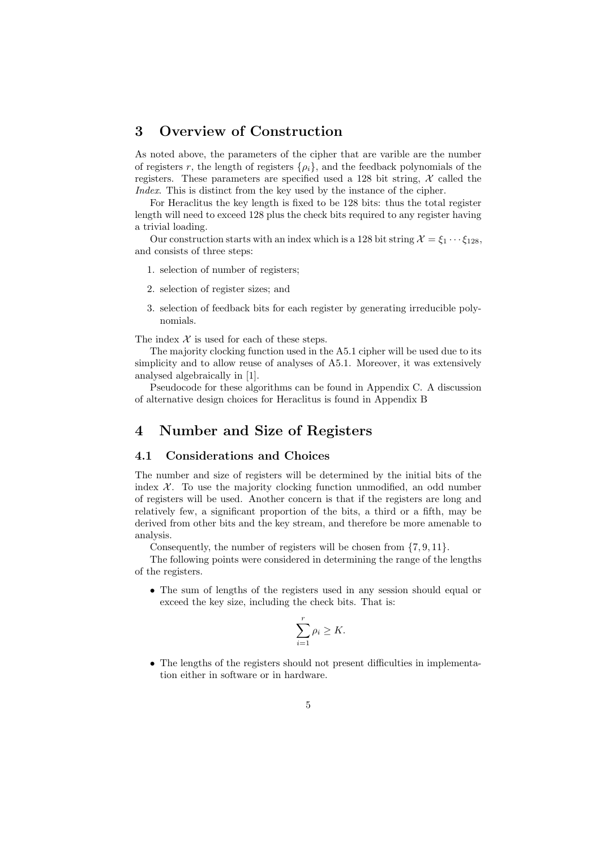# 3 Overview of Construction

As noted above, the parameters of the cipher that are varible are the number of registers r, the length of registers  $\{\rho_i\}$ , and the feedback polynomials of the registers. These parameters are specified used a 128 bit string,  $\mathcal X$  called the Index. This is distinct from the key used by the instance of the cipher.

For Heraclitus the key length is fixed to be 128 bits: thus the total register length will need to exceed 128 plus the check bits required to any register having a trivial loading.

Our construction starts with an index which is a 128 bit string  $\mathcal{X} = \xi_1 \cdots \xi_{128}$ , and consists of three steps:

- 1. selection of number of registers;
- 2. selection of register sizes; and
- 3. selection of feedback bits for each register by generating irreducible polynomials.

The index  $X$  is used for each of these steps.

The majority clocking function used in the A5.1 cipher will be used due to its simplicity and to allow reuse of analyses of A5.1. Moreover, it was extensively analysed algebraically in [1].

Pseudocode for these algorithms can be found in Appendix C. A discussion of alternative design choices for Heraclitus is found in Appendix B

### 4 Number and Size of Registers

### 4.1 Considerations and Choices

The number and size of registers will be determined by the initial bits of the index  $X$ . To use the majority clocking function unmodified, an odd number of registers will be used. Another concern is that if the registers are long and relatively few, a significant proportion of the bits, a third or a fifth, may be derived from other bits and the key stream, and therefore be more amenable to analysis.

Consequently, the number of registers will be chosen from {7, 9, 11}.

The following points were considered in determining the range of the lengths of the registers.

• The sum of lengths of the registers used in any session should equal or exceed the key size, including the check bits. That is:

$$
\sum_{i=1}^r \rho_i \ge K.
$$

• The lengths of the registers should not present difficulties in implementation either in software or in hardware.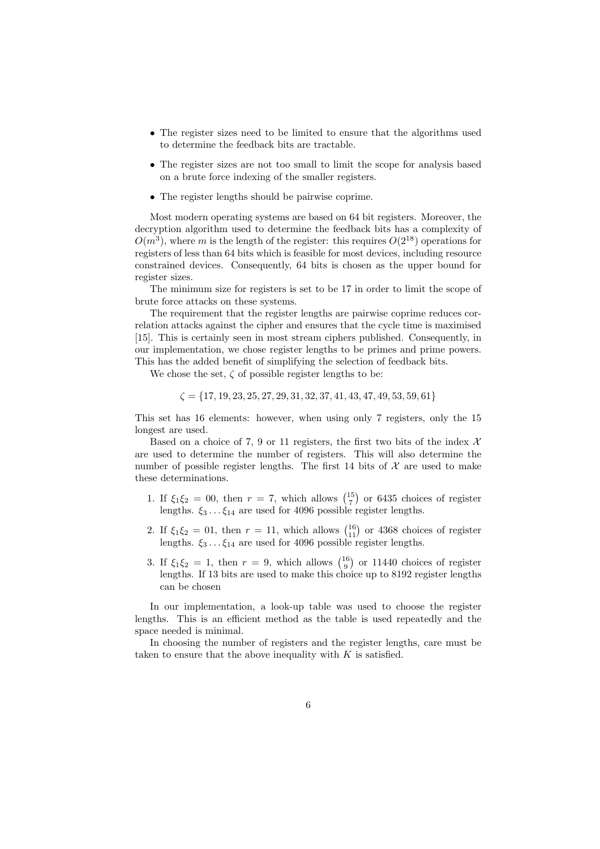- The register sizes need to be limited to ensure that the algorithms used to determine the feedback bits are tractable.
- The register sizes are not too small to limit the scope for analysis based on a brute force indexing of the smaller registers.
- The register lengths should be pairwise coprime.

Most modern operating systems are based on 64 bit registers. Moreover, the decryption algorithm used to determine the feedback bits has a complexity of  $O(m^3)$ , where m is the length of the register: this requires  $O(2^{18})$  operations for registers of less than 64 bits which is feasible for most devices, including resource constrained devices. Consequently, 64 bits is chosen as the upper bound for register sizes.

The minimum size for registers is set to be 17 in order to limit the scope of brute force attacks on these systems.

The requirement that the register lengths are pairwise coprime reduces correlation attacks against the cipher and ensures that the cycle time is maximised [15]. This is certainly seen in most stream ciphers published. Consequently, in our implementation, we chose register lengths to be primes and prime powers. This has the added benefit of simplifying the selection of feedback bits.

We chose the set,  $\zeta$  of possible register lengths to be:

 $\zeta = \{17, 19, 23, 25, 27, 29, 31, 32, 37, 41, 43, 47, 49, 53, 59, 61\}$ 

This set has 16 elements: however, when using only 7 registers, only the 15 longest are used.

Based on a choice of 7, 9 or 11 registers, the first two bits of the index  $\mathcal{X}$ are used to determine the number of registers. This will also determine the number of possible register lengths. The first 14 bits of  $\mathcal X$  are used to make these determinations.

- 1. If  $\xi_1 \xi_2 = 00$ , then  $r = 7$ , which allows  $\binom{15}{7}$  or 6435 choices of register lengths.  $\xi_3 \dots \xi_{14}$  are used for 4096 possible register lengths.
- 2. If  $\xi_1 \xi_2 = 01$ , then  $r = 11$ , which allows  $\binom{16}{11}$  or 4368 choices of register lengths.  $\xi_3 \dots \xi_{14}$  are used for 4096 possible register lengths.
- 3. If  $\xi_1 \xi_2 = 1$ , then  $r = 9$ , which allows  $\binom{16}{9}$  or 11440 choices of register lengths. If 13 bits are used to make this choice up to 8192 register lengths can be chosen

In our implementation, a look-up table was used to choose the register lengths. This is an efficient method as the table is used repeatedly and the space needed is minimal.

In choosing the number of registers and the register lengths, care must be taken to ensure that the above inequality with  $K$  is satisfied.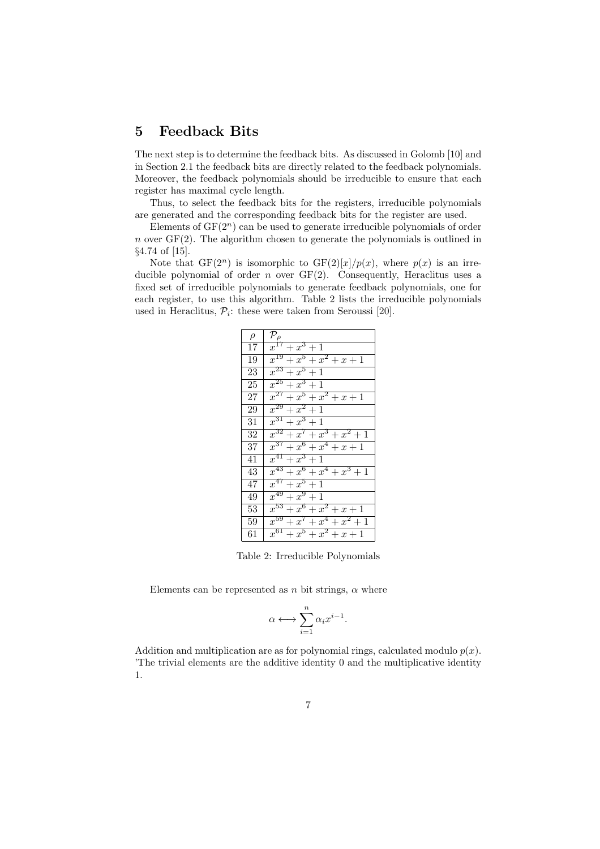# 5 Feedback Bits

The next step is to determine the feedback bits. As discussed in Golomb [10] and in Section 2.1 the feedback bits are directly related to the feedback polynomials. Moreover, the feedback polynomials should be irreducible to ensure that each register has maximal cycle length.

Thus, to select the feedback bits for the registers, irreducible polynomials are generated and the corresponding feedback bits for the register are used.

Elements of  $GF(2<sup>n</sup>)$  can be used to generate irreducible polynomials of order n over  $GF(2)$ . The algorithm chosen to generate the polynomials is outlined in §4.74 of [15].

Note that  $GF(2^n)$  is isomorphic to  $GF(2)[x]/p(x)$ , where  $p(x)$  is an irreducible polynomial of order  $n$  over  $GF(2)$ . Consequently, Heraclitus uses a fixed set of irreducible polynomials to generate feedback polynomials, one for each register, to use this algorithm. Table 2 lists the irreducible polynomials used in Heraclitus,  $P_i$ : these were taken from Seroussi [20].

| $\rho$ | $\mathcal{P}_{\rho}$           |
|--------|--------------------------------|
| 17     | $x^{17}+x^3+1$                 |
| 19     | $x^{19} + x^5 + x^2 + x + 1$   |
| 23     | $x^{23}+x^5+1$                 |
| 25     | $x^{25}+x^3+1$                 |
| 27     | $x^{27} + x^5 + x^2 + x + 1$   |
| 29     | $x^{29}+x^2+1$                 |
| 31     | $x^{31}+x^3+1$                 |
| 32     | $x^{32} + x^7 + x^3 + x^2 + 1$ |
| 37     | $x^{37} + x^6 + x^4 + x + 1$   |
| 41     | $x^{41} + x^3 + 1$             |
| 43     | $x^{43} + x^6 + x^4 + x^3 + 1$ |
| 47     | $x^{47} + x^5 + 1$             |
| 49     | $x^{49} + x^9 + 1$             |
| 53     | $x^{53} + x^6 + x^2 + x + 1$   |
| 59     | $x^{59} + x^7 + x^4 + x^2 + 1$ |
| 61     | $x^{61} + x^5 + x^2 + x + 1$   |

Table 2: Irreducible Polynomials

Elements can be represented as n bit strings,  $\alpha$  where

$$
\alpha \longleftrightarrow \sum_{i=1}^n \alpha_i x^{i-1}.
$$

Addition and multiplication are as for polynomial rings, calculated modulo  $p(x)$ . 'The trivial elements are the additive identity 0 and the multiplicative identity 1.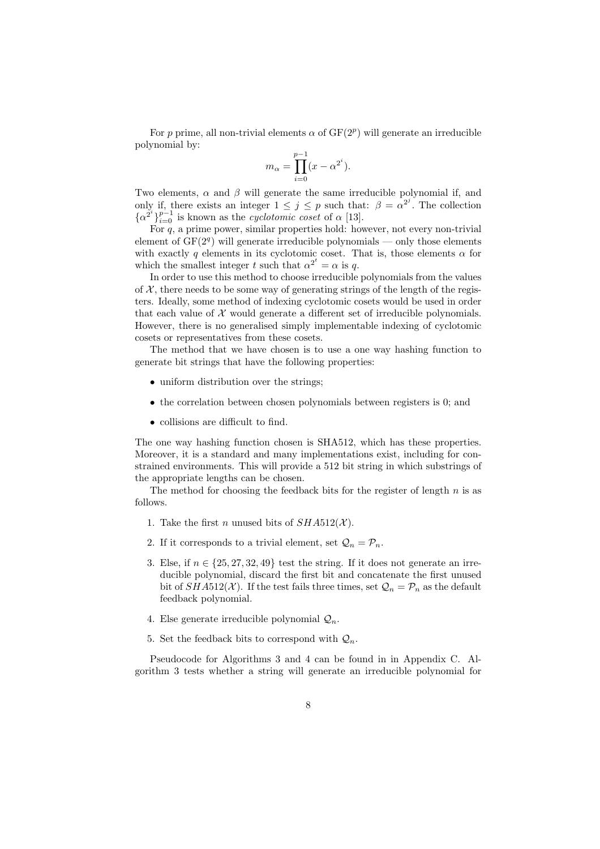For p prime, all non-trivial elements  $\alpha$  of  $GF(2^p)$  will generate an irreducible polynomial by:

$$
m_{\alpha} = \prod_{i=0}^{p-1} (x - \alpha^{2^i}).
$$

Two elements,  $\alpha$  and  $\beta$  will generate the same irreducible polynomial if, and only if, there exists an integer  $1 \leq j \leq p$  such that:  $\beta = \alpha^{2^j}$ . The collection  $\{\alpha^{2^i}\}_{i=0}^{p-1}$  is known as the *cyclotomic coset* of  $\alpha$  [13].

For  $q$ , a prime power, similar properties hold: however, not every non-trivial element of  $GF(2<sup>q</sup>)$  will generate irreducible polynomials — only those elements with exactly q elements in its cyclotomic coset. That is, those elements  $\alpha$  for which the smallest integer t such that  $\alpha^{2^t} = \alpha$  is q.

In order to use this method to choose irreducible polynomials from the values of  $X$ , there needs to be some way of generating strings of the length of the registers. Ideally, some method of indexing cyclotomic cosets would be used in order that each value of  $X$  would generate a different set of irreducible polynomials. However, there is no generalised simply implementable indexing of cyclotomic cosets or representatives from these cosets.

The method that we have chosen is to use a one way hashing function to generate bit strings that have the following properties:

- uniform distribution over the strings:
- the correlation between chosen polynomials between registers is 0; and
- collisions are difficult to find.

The one way hashing function chosen is SHA512, which has these properties. Moreover, it is a standard and many implementations exist, including for constrained environments. This will provide a 512 bit string in which substrings of the appropriate lengths can be chosen.

The method for choosing the feedback bits for the register of length  $n$  is as follows.

- 1. Take the first *n* unused bits of  $SHA512(X)$ .
- 2. If it corresponds to a trivial element, set  $\mathcal{Q}_n = \mathcal{P}_n$ .
- 3. Else, if  $n \in \{25, 27, 32, 49\}$  test the string. If it does not generate an irreducible polynomial, discard the first bit and concatenate the first unused bit of  $SHA512(X)$ . If the test fails three times, set  $\mathcal{Q}_n = \mathcal{P}_n$  as the default feedback polynomial.
- 4. Else generate irreducible polynomial  $\mathcal{Q}_n$ .
- 5. Set the feedback bits to correspond with  $\mathcal{Q}_n$ .

Pseudocode for Algorithms 3 and 4 can be found in in Appendix C. Algorithm 3 tests whether a string will generate an irreducible polynomial for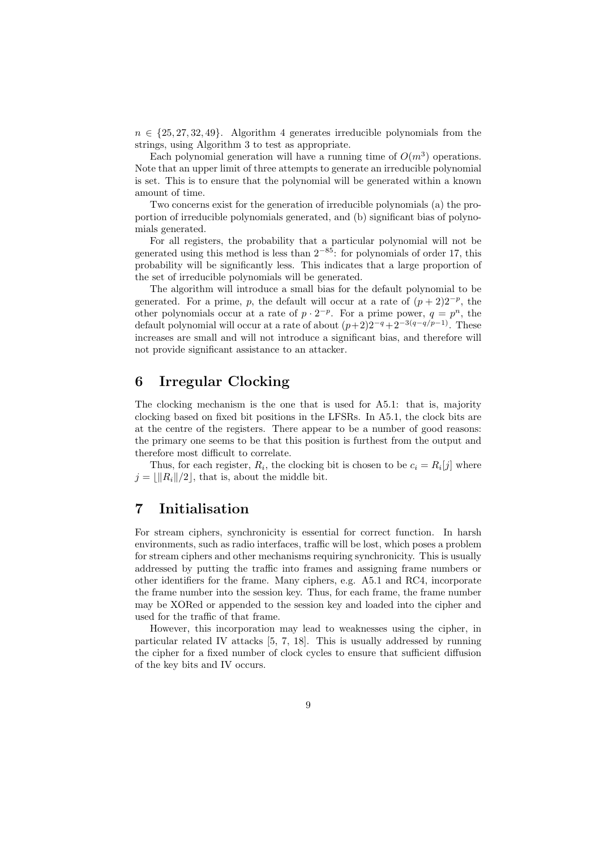$n \in \{25, 27, 32, 49\}$ . Algorithm 4 generates irreducible polynomials from the strings, using Algorithm 3 to test as appropriate.

Each polynomial generation will have a running time of  $O(m^3)$  operations. Note that an upper limit of three attempts to generate an irreducible polynomial is set. This is to ensure that the polynomial will be generated within a known amount of time.

Two concerns exist for the generation of irreducible polynomials (a) the proportion of irreducible polynomials generated, and (b) significant bias of polynomials generated.

For all registers, the probability that a particular polynomial will not be generated using this method is less than  $2^{-85}$ : for polynomials of order 17, this probability will be significantly less. This indicates that a large proportion of the set of irreducible polynomials will be generated.

The algorithm will introduce a small bias for the default polynomial to be generated. For a prime, p, the default will occur at a rate of  $(p+2)2^{-p}$ , the other polynomials occur at a rate of  $p \cdot 2^{-p}$ . For a prime power,  $q = p^n$ , the default polynomial will occur at a rate of about  $(p+2)2^{-q}+2^{-3(q-q/p-1)}$ . These increases are small and will not introduce a significant bias, and therefore will not provide significant assistance to an attacker.

# 6 Irregular Clocking

The clocking mechanism is the one that is used for A5.1: that is, majority clocking based on fixed bit positions in the LFSRs. In A5.1, the clock bits are at the centre of the registers. There appear to be a number of good reasons: the primary one seems to be that this position is furthest from the output and therefore most difficult to correlate.

Thus, for each register,  $R_i$ , the clocking bit is chosen to be  $c_i = R_i[j]$  where  $j = ||R_i||/2$ , that is, about the middle bit.

# 7 Initialisation

For stream ciphers, synchronicity is essential for correct function. In harsh environments, such as radio interfaces, traffic will be lost, which poses a problem for stream ciphers and other mechanisms requiring synchronicity. This is usually addressed by putting the traffic into frames and assigning frame numbers or other identifiers for the frame. Many ciphers, e.g. A5.1 and RC4, incorporate the frame number into the session key. Thus, for each frame, the frame number may be XORed or appended to the session key and loaded into the cipher and used for the traffic of that frame.

However, this incorporation may lead to weaknesses using the cipher, in particular related IV attacks [5, 7, 18]. This is usually addressed by running the cipher for a fixed number of clock cycles to ensure that sufficient diffusion of the key bits and IV occurs.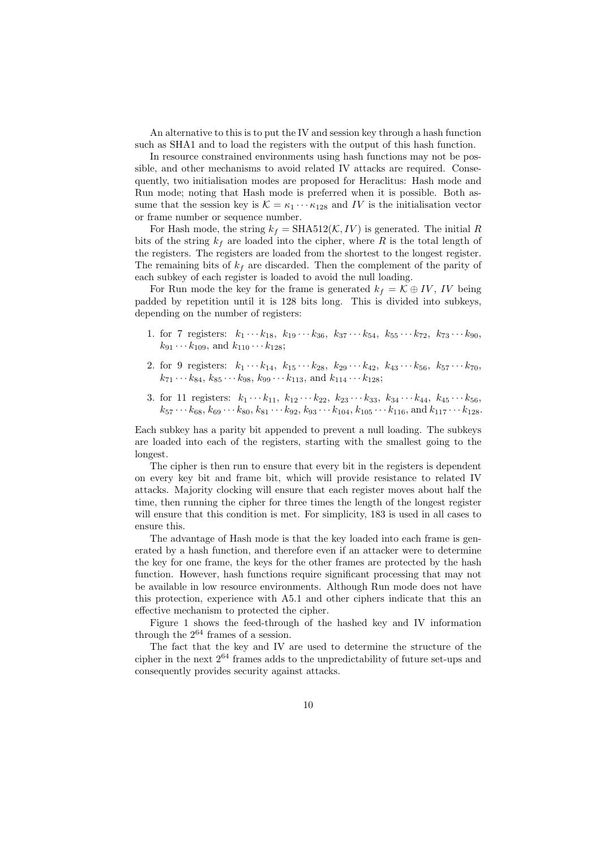An alternative to this is to put the IV and session key through a hash function such as SHA1 and to load the registers with the output of this hash function.

In resource constrained environments using hash functions may not be possible, and other mechanisms to avoid related IV attacks are required. Consequently, two initialisation modes are proposed for Heraclitus: Hash mode and Run mode; noting that Hash mode is preferred when it is possible. Both assume that the session key is  $\mathcal{K} = \kappa_1 \cdots \kappa_{128}$  and IV is the initialisation vector or frame number or sequence number.

For Hash mode, the string  $k_f = \text{SHA512}(\mathcal{K}, IV)$  is generated. The initial R bits of the string  $k_f$  are loaded into the cipher, where R is the total length of the registers. The registers are loaded from the shortest to the longest register. The remaining bits of  $k_f$  are discarded. Then the complement of the parity of each subkey of each register is loaded to avoid the null loading.

For Run mode the key for the frame is generated  $k_f = \mathcal{K} \oplus IV$ , IV being padded by repetition until it is 128 bits long. This is divided into subkeys, depending on the number of registers:

- 1. for 7 registers:  $k_1 \cdots k_{18}$ ,  $k_{19} \cdots k_{36}$ ,  $k_{37} \cdots k_{54}$ ,  $k_{55} \cdots k_{72}$ ,  $k_{73} \cdots k_{90}$ ,  $k_{91} \cdots k_{109}$ , and  $k_{110} \cdots k_{128}$ ;
- 2. for 9 registers:  $k_1 \cdots k_{14}$ ,  $k_{15} \cdots k_{28}$ ,  $k_{29} \cdots k_{42}$ ,  $k_{43} \cdots k_{56}$ ,  $k_{57} \cdots k_{70}$ ,  $k_{71} \cdots k_{84}$ ,  $k_{85} \cdots k_{98}$ ,  $k_{99} \cdots k_{113}$ , and  $k_{114} \cdots k_{128}$ ;
- 3. for 11 registers:  $k_1 \cdots k_{11}$ ,  $k_{12} \cdots k_{22}$ ,  $k_{23} \cdots k_{33}$ ,  $k_{34} \cdots k_{44}$ ,  $k_{45} \cdots k_{56}$ ,  $k_{57}\cdots k_{68}, k_{69}\cdots k_{80}, k_{81}\cdots k_{92}, k_{93}\cdots k_{104}, k_{105}\cdots k_{116}, \text{and } k_{117}\cdots k_{128}.$

Each subkey has a parity bit appended to prevent a null loading. The subkeys are loaded into each of the registers, starting with the smallest going to the longest.

The cipher is then run to ensure that every bit in the registers is dependent on every key bit and frame bit, which will provide resistance to related IV attacks. Majority clocking will ensure that each register moves about half the time, then running the cipher for three times the length of the longest register will ensure that this condition is met. For simplicity, 183 is used in all cases to ensure this.

The advantage of Hash mode is that the key loaded into each frame is generated by a hash function, and therefore even if an attacker were to determine the key for one frame, the keys for the other frames are protected by the hash function. However, hash functions require significant processing that may not be available in low resource environments. Although Run mode does not have this protection, experience with A5.1 and other ciphers indicate that this an effective mechanism to protected the cipher.

Figure 1 shows the feed-through of the hashed key and IV information through the 2<sup>64</sup> frames of a session.

The fact that the key and IV are used to determine the structure of the cipher in the next  $2^{64}$  frames adds to the unpredictability of future set-ups and consequently provides security against attacks.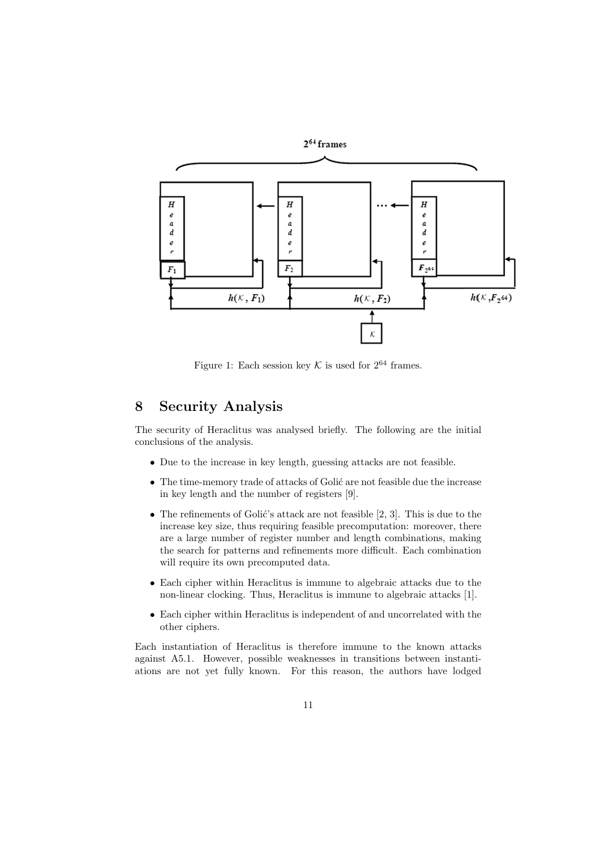

Figure 1: Each session key  $K$  is used for  $2^{64}$  frames.

# 8 Security Analysis

The security of Heraclitus was analysed briefly. The following are the initial conclusions of the analysis.

- Due to the increase in key length, guessing attacks are not feasible.
- $\bullet$  The time-memory trade of attacks of Golić are not feasible due the increase in key length and the number of registers [9].
- The refinements of Golić's attack are not feasible  $[2, 3]$ . This is due to the increase key size, thus requiring feasible precomputation: moreover, there are a large number of register number and length combinations, making the search for patterns and refinements more difficult. Each combination will require its own precomputed data.
- Each cipher within Heraclitus is immune to algebraic attacks due to the non-linear clocking. Thus, Heraclitus is immune to algebraic attacks [1].
- Each cipher within Heraclitus is independent of and uncorrelated with the other ciphers.

Each instantiation of Heraclitus is therefore immune to the known attacks against A5.1. However, possible weaknesses in transitions between instantiations are not yet fully known. For this reason, the authors have lodged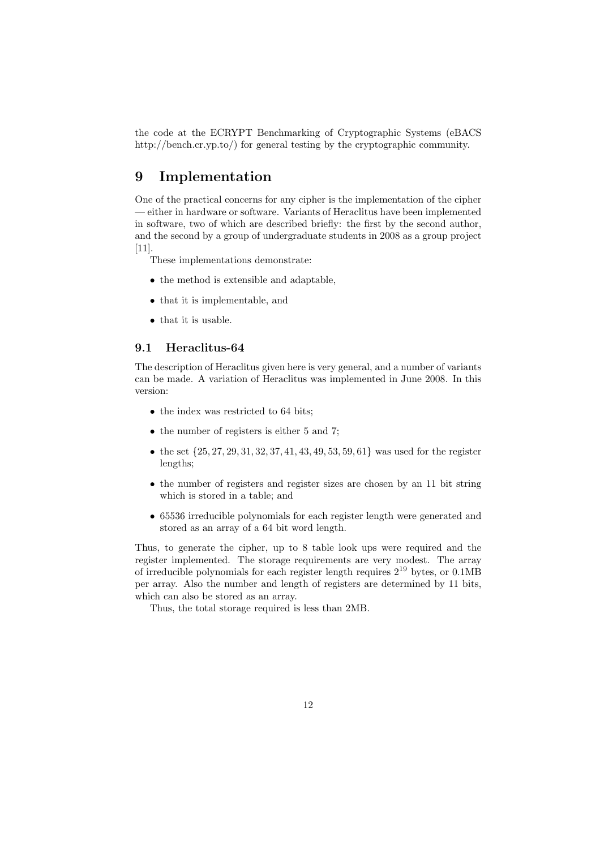the code at the ECRYPT Benchmarking of Cryptographic Systems (eBACS http://bench.cr.yp.to/) for general testing by the cryptographic community.

# 9 Implementation

One of the practical concerns for any cipher is the implementation of the cipher — either in hardware or software. Variants of Heraclitus have been implemented in software, two of which are described briefly: the first by the second author, and the second by a group of undergraduate students in 2008 as a group project [11].

- These implementations demonstrate:
- the method is extensible and adaptable,
- that it is implementable, and
- that it is usable.

### 9.1 Heraclitus-64

The description of Heraclitus given here is very general, and a number of variants can be made. A variation of Heraclitus was implemented in June 2008. In this version:

- the index was restricted to 64 bits;
- the number of registers is either 5 and 7;
- the set  $\{25, 27, 29, 31, 32, 37, 41, 43, 49, 53, 59, 61\}$  was used for the register lengths;
- the number of registers and register sizes are chosen by an 11 bit string which is stored in a table; and
- 65536 irreducible polynomials for each register length were generated and stored as an array of a 64 bit word length.

Thus, to generate the cipher, up to 8 table look ups were required and the register implemented. The storage requirements are very modest. The array of irreducible polynomials for each register length requires  $2^{19}$  bytes, or 0.1MB per array. Also the number and length of registers are determined by 11 bits, which can also be stored as an array.

Thus, the total storage required is less than 2MB.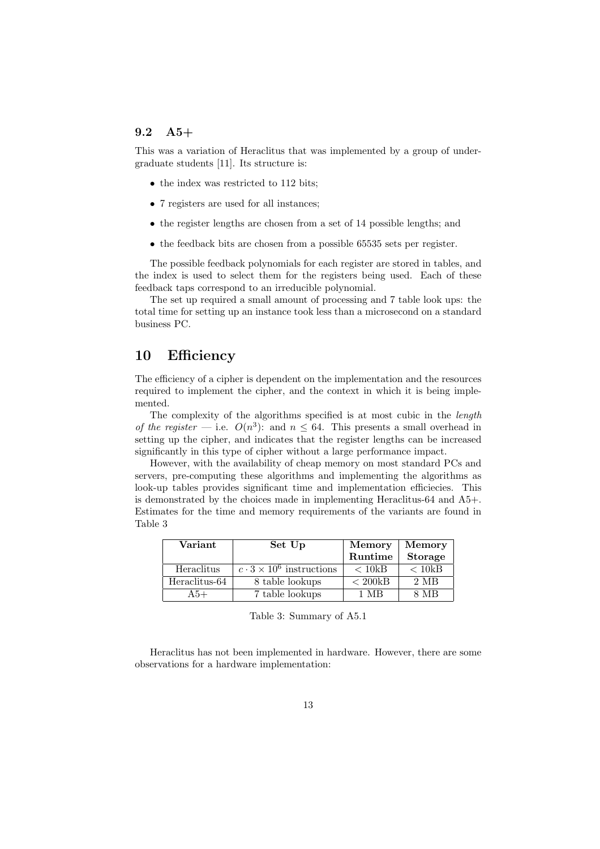### 9.2 A5+

This was a variation of Heraclitus that was implemented by a group of undergraduate students [11]. Its structure is:

- the index was restricted to 112 bits;
- 7 registers are used for all instances;
- the register lengths are chosen from a set of 14 possible lengths; and
- the feedback bits are chosen from a possible 65535 sets per register.

The possible feedback polynomials for each register are stored in tables, and the index is used to select them for the registers being used. Each of these feedback taps correspond to an irreducible polynomial.

The set up required a small amount of processing and 7 table look ups: the total time for setting up an instance took less than a microsecond on a standard business PC.

### 10 Efficiency

The efficiency of a cipher is dependent on the implementation and the resources required to implement the cipher, and the context in which it is being implemented.

The complexity of the algorithms specified is at most cubic in the length of the register – i.e.  $O(n^3)$ : and  $n \leq 64$ . This presents a small overhead in setting up the cipher, and indicates that the register lengths can be increased significantly in this type of cipher without a large performance impact.

However, with the availability of cheap memory on most standard PCs and servers, pre-computing these algorithms and implementing the algorithms as look-up tables provides significant time and implementation efficiecies. This is demonstrated by the choices made in implementing Heraclitus-64 and A5+. Estimates for the time and memory requirements of the variants are found in Table 3

| Variant       | Set Up                                        | <b>Memory</b>     | <b>Memory</b>    |
|---------------|-----------------------------------------------|-------------------|------------------|
|               |                                               | Runtime           | <b>Storage</b>   |
| Heraclitus    | $\overline{c\cdot 3\times 10^6}$ instructions | < 10kB            | < 10kB           |
| Heraclitus-64 | 8 table lookups                               | $< 200 \text{kB}$ | $2\;\mathrm{MB}$ |
| $A5+$         | 7 table lookups                               | 1 MR              | 8 MB             |

Table 3: Summary of A5.1

Heraclitus has not been implemented in hardware. However, there are some observations for a hardware implementation: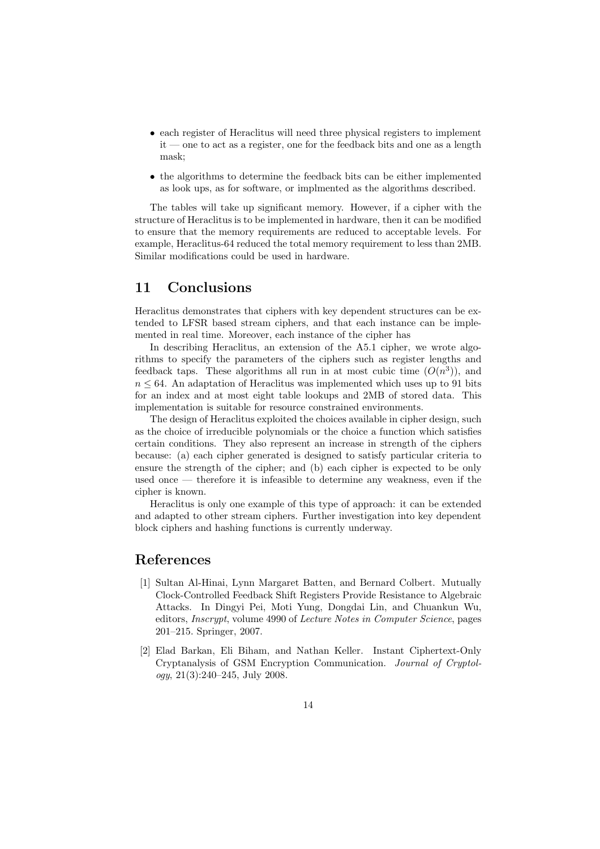- each register of Heraclitus will need three physical registers to implement it — one to act as a register, one for the feedback bits and one as a length mask;
- the algorithms to determine the feedback bits can be either implemented as look ups, as for software, or implmented as the algorithms described.

The tables will take up significant memory. However, if a cipher with the structure of Heraclitus is to be implemented in hardware, then it can be modified to ensure that the memory requirements are reduced to acceptable levels. For example, Heraclitus-64 reduced the total memory requirement to less than 2MB. Similar modifications could be used in hardware.

## 11 Conclusions

Heraclitus demonstrates that ciphers with key dependent structures can be extended to LFSR based stream ciphers, and that each instance can be implemented in real time. Moreover, each instance of the cipher has

In describing Heraclitus, an extension of the A5.1 cipher, we wrote algorithms to specify the parameters of the ciphers such as register lengths and feedback taps. These algorithms all run in at most cubic time  $(O(n^3))$ , and  $n \leq 64$ . An adaptation of Heraclitus was implemented which uses up to 91 bits for an index and at most eight table lookups and 2MB of stored data. This implementation is suitable for resource constrained environments.

The design of Heraclitus exploited the choices available in cipher design, such as the choice of irreducible polynomials or the choice a function which satisfies certain conditions. They also represent an increase in strength of the ciphers because: (a) each cipher generated is designed to satisfy particular criteria to ensure the strength of the cipher; and (b) each cipher is expected to be only used once — therefore it is infeasible to determine any weakness, even if the cipher is known.

Heraclitus is only one example of this type of approach: it can be extended and adapted to other stream ciphers. Further investigation into key dependent block ciphers and hashing functions is currently underway.

### References

- [1] Sultan Al-Hinai, Lynn Margaret Batten, and Bernard Colbert. Mutually Clock-Controlled Feedback Shift Registers Provide Resistance to Algebraic Attacks. In Dingyi Pei, Moti Yung, Dongdai Lin, and Chuankun Wu, editors, Inscrypt, volume 4990 of Lecture Notes in Computer Science, pages 201–215. Springer, 2007.
- [2] Elad Barkan, Eli Biham, and Nathan Keller. Instant Ciphertext-Only Cryptanalysis of GSM Encryption Communication. Journal of Cryptology, 21(3):240–245, July 2008.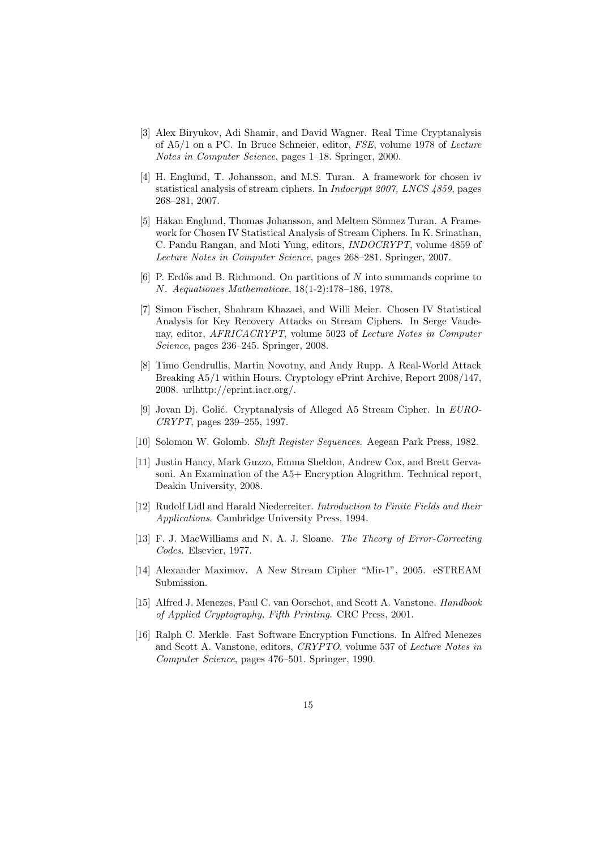- [3] Alex Biryukov, Adi Shamir, and David Wagner. Real Time Cryptanalysis of A5/1 on a PC. In Bruce Schneier, editor, FSE, volume 1978 of Lecture Notes in Computer Science, pages 1–18. Springer, 2000.
- [4] H. Englund, T. Johansson, and M.S. Turan. A framework for chosen iv statistical analysis of stream ciphers. In Indocrypt 2007, LNCS 4859, pages 268–281, 2007.
- [5] Håkan Englund, Thomas Johansson, and Meltem Sönmez Turan. A Framework for Chosen IV Statistical Analysis of Stream Ciphers. In K. Srinathan, C. Pandu Rangan, and Moti Yung, editors, INDOCRYPT, volume 4859 of Lecture Notes in Computer Science, pages 268–281. Springer, 2007.
- [6] P. Erdős and B. Richmond. On partitions of  $N$  into summands coprime to N. Aequationes Mathematicae, 18(1-2):178–186, 1978.
- [7] Simon Fischer, Shahram Khazaei, and Willi Meier. Chosen IV Statistical Analysis for Key Recovery Attacks on Stream Ciphers. In Serge Vaudenay, editor, AFRICACRYPT, volume 5023 of Lecture Notes in Computer Science, pages 236–245. Springer, 2008.
- [8] Timo Gendrullis, Martin Novotny, and Andy Rupp. A Real-World Attack Breaking A5/1 within Hours. Cryptology ePrint Archive, Report 2008/147, 2008. urlhttp://eprint.iacr.org/.
- [9] Jovan Dj. Golić. Cryptanalysis of Alleged A5 Stream Cipher. In EURO-CRYPT, pages 239–255, 1997.
- [10] Solomon W. Golomb. Shift Register Sequences. Aegean Park Press, 1982.
- [11] Justin Hancy, Mark Guzzo, Emma Sheldon, Andrew Cox, and Brett Gervasoni. An Examination of the A5+ Encryption Alogrithm. Technical report, Deakin University, 2008.
- [12] Rudolf Lidl and Harald Niederreiter. Introduction to Finite Fields and their Applications. Cambridge University Press, 1994.
- [13] F. J. MacWilliams and N. A. J. Sloane. *The Theory of Error-Correcting* Codes. Elsevier, 1977.
- [14] Alexander Maximov. A New Stream Cipher "Mir-1", 2005. eSTREAM Submission.
- [15] Alfred J. Menezes, Paul C. van Oorschot, and Scott A. Vanstone. Handbook of Applied Cryptography, Fifth Printing. CRC Press, 2001.
- [16] Ralph C. Merkle. Fast Software Encryption Functions. In Alfred Menezes and Scott A. Vanstone, editors, CRYPTO, volume 537 of Lecture Notes in Computer Science, pages 476–501. Springer, 1990.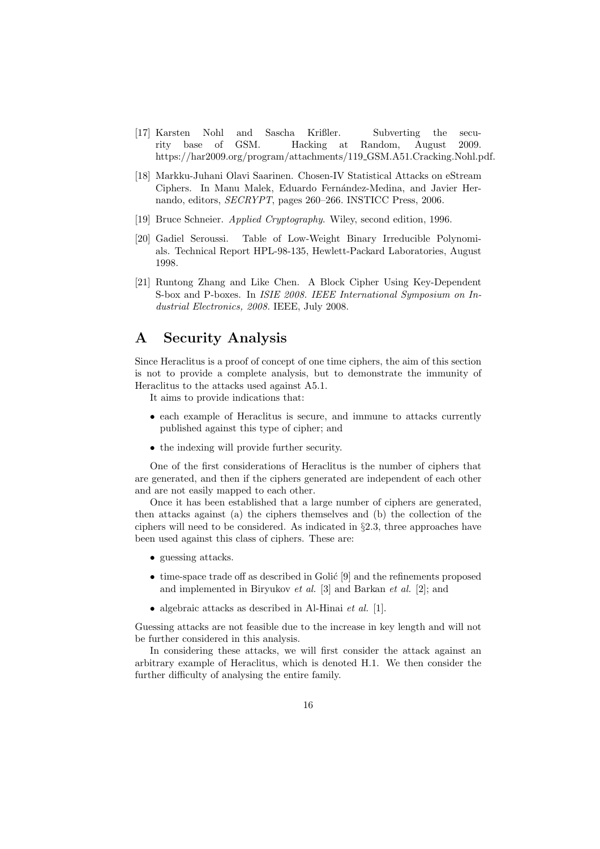- [17] Karsten Nohl and Sascha Krißler. Subverting the security base of GSM. Hacking at Random, August 2009. https://har2009.org/program/attachments/119 GSM.A51.Cracking.Nohl.pdf.
- [18] Markku-Juhani Olavi Saarinen. Chosen-IV Statistical Attacks on eStream Ciphers. In Manu Malek, Eduardo Fernández-Medina, and Javier Hernando, editors, SECRYPT, pages 260–266. INSTICC Press, 2006.
- [19] Bruce Schneier. Applied Cryptography. Wiley, second edition, 1996.
- [20] Gadiel Seroussi. Table of Low-Weight Binary Irreducible Polynomials. Technical Report HPL-98-135, Hewlett-Packard Laboratories, August 1998.
- [21] Runtong Zhang and Like Chen. A Block Cipher Using Key-Dependent S-box and P-boxes. In ISIE 2008. IEEE International Symposium on Industrial Electronics, 2008. IEEE, July 2008.

### A Security Analysis

Since Heraclitus is a proof of concept of one time ciphers, the aim of this section is not to provide a complete analysis, but to demonstrate the immunity of Heraclitus to the attacks used against A5.1.

It aims to provide indications that:

- each example of Heraclitus is secure, and immune to attacks currently published against this type of cipher; and
- the indexing will provide further security.

One of the first considerations of Heraclitus is the number of ciphers that are generated, and then if the ciphers generated are independent of each other and are not easily mapped to each other.

Once it has been established that a large number of ciphers are generated, then attacks against (a) the ciphers themselves and (b) the collection of the ciphers will need to be considered. As indicated in §2.3, three approaches have been used against this class of ciphers. These are:

- guessing attacks.
- $\bullet$  time-space trade off as described in Golić [9] and the refinements proposed and implemented in Biryukov et al. [3] and Barkan et al. [2]; and
- algebraic attacks as described in Al-Hinai et al. [1].

Guessing attacks are not feasible due to the increase in key length and will not be further considered in this analysis.

In considering these attacks, we will first consider the attack against an arbitrary example of Heraclitus, which is denoted H.1. We then consider the further difficulty of analysing the entire family.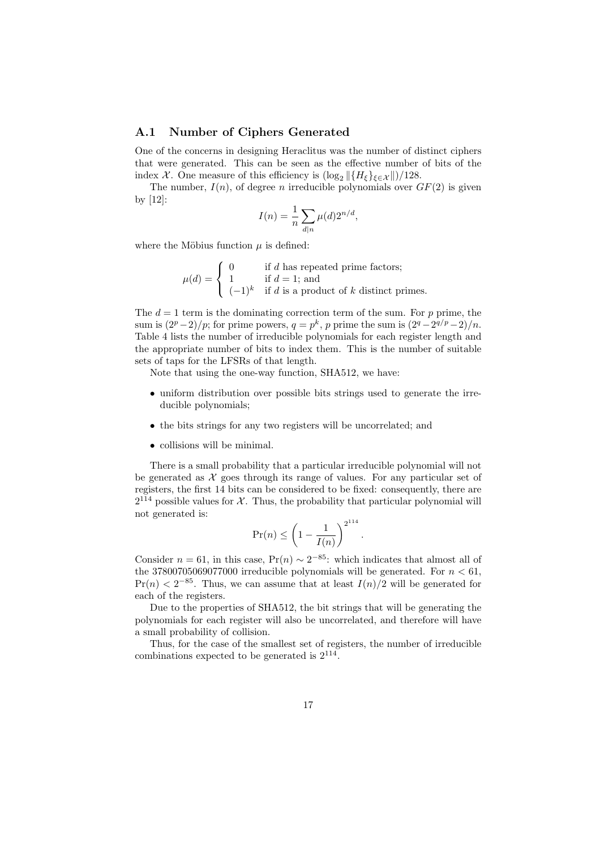#### A.1 Number of Ciphers Generated

One of the concerns in designing Heraclitus was the number of distinct ciphers that were generated. This can be seen as the effective number of bits of the index X. One measure of this efficiency is  $(\log_2 ||{H_{\xi}}_{\xi \in \mathcal{X}}||)/128$ .

The number,  $I(n)$ , of degree n irreducible polynomials over  $GF(2)$  is given by [12]:

$$
I(n) = \frac{1}{n} \sum_{d|n} \mu(d) 2^{n/d},
$$

where the Möbius function  $\mu$  is defined:

 $\mu(d) =$  $\sqrt{ }$ Į  $\mathcal{L}$ 0 if  $d$  has repeated prime factors; 1 if  $d = 1$ ; and  $(-1)^k$  if d is a product of k distinct primes.

The  $d = 1$  term is the dominating correction term of the sum. For p prime, the sum is  $\left(\frac{2^p-2}{p};$  for prime powers,  $q=p^k$ , p prime the sum is  $\left(\frac{2^q-2^{q/p}-2}{n}\right)$ . Table 4 lists the number of irreducible polynomials for each register length and the appropriate number of bits to index them. This is the number of suitable sets of taps for the LFSRs of that length.

Note that using the one-way function, SHA512, we have:

- uniform distribution over possible bits strings used to generate the irreducible polynomials;
- the bits strings for any two registers will be uncorrelated; and
- collisions will be minimal.

There is a small probability that a particular irreducible polynomial will not be generated as  $\mathcal X$  goes through its range of values. For any particular set of registers, the first 14 bits can be considered to be fixed: consequently, there are  $2^{114}$  possible values for  $\mathcal{X}$ . Thus, the probability that particular polynomial will not generated is:

$$
\Pr(n) \le \left(1 - \frac{1}{I(n)}\right)^{2^{114}}
$$

.

Consider  $n = 61$ , in this case,  $Pr(n) \sim 2^{-85}$ : which indicates that almost all of the 37800705069077000 irreducible polynomials will be generated. For  $n < 61$ ,  $Pr(n) < 2^{-85}$ . Thus, we can assume that at least  $I(n)/2$  will be generated for each of the registers.

Due to the properties of SHA512, the bit strings that will be generating the polynomials for each register will also be uncorrelated, and therefore will have a small probability of collision.

Thus, for the case of the smallest set of registers, the number of irreducible combinations expected to be generated is 2<sup>114</sup> .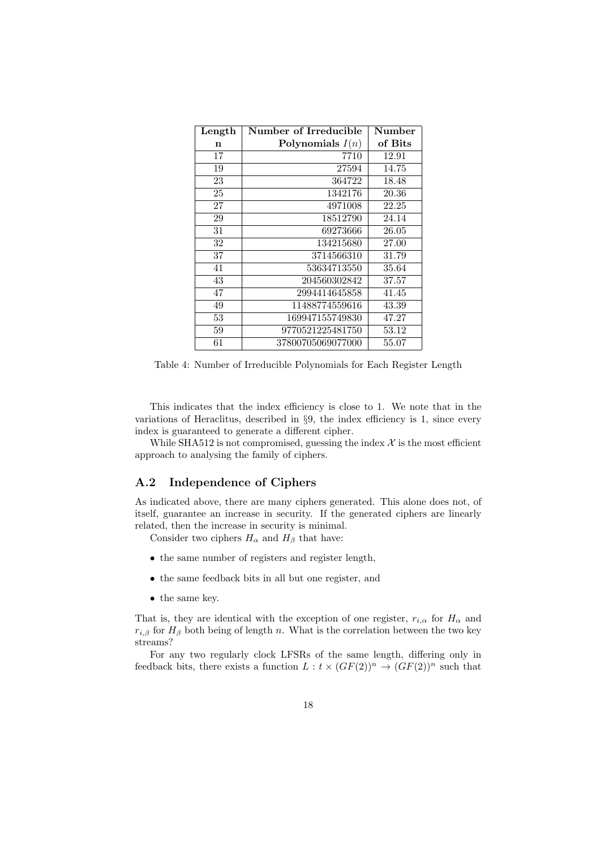| Length          | Number of Irreducible | Number  |
|-----------------|-----------------------|---------|
| $\mathbf n$     | Polynomials $I(n)$    | of Bits |
| 17              | 7710                  | 12.91   |
| 19              | 27594                 | 14.75   |
| 23              | 364722                | 18.48   |
| 25              | 1342176               | 20.36   |
| 27              | 4971008               | 22.25   |
| 29              | 18512790              | 24.14   |
| 31              | 69273666              | 26.05   |
| 32              | 134215680             | 27.00   |
| 37              | 3714566310            | 31.79   |
| 41              | 53634713550           | 35.64   |
| 43              | 204560302842          | 37.57   |
| 47              | 2994414645858         | 41.45   |
| 49              | 11488774559616        | 43.39   |
| 53              | 169947155749830       | 47.27   |
| 59              | 9770521225481750      | 53.12   |
| $\overline{61}$ | 37800705069077000     | 55.07   |

Table 4: Number of Irreducible Polynomials for Each Register Length

This indicates that the index efficiency is close to 1. We note that in the variations of Heraclitus, described in §9, the index efficiency is 1, since every index is guaranteed to generate a different cipher.

While SHA512 is not compromised, guessing the index  $\mathcal X$  is the most efficient approach to analysing the family of ciphers.

### A.2 Independence of Ciphers

As indicated above, there are many ciphers generated. This alone does not, of itself, guarantee an increase in security. If the generated ciphers are linearly related, then the increase in security is minimal.

Consider two ciphers  $H_\alpha$  and  $H_\beta$  that have:

- the same number of registers and register length,
- the same feedback bits in all but one register, and
- the same key.

That is, they are identical with the exception of one register,  $r_{i,\alpha}$  for  $H_{\alpha}$  and  $r_{i,\beta}$  for  $H_{\beta}$  both being of length n. What is the correlation between the two key streams?

For any two regularly clock LFSRs of the same length, differing only in feedback bits, there exists a function  $L : t \times (GF(2))^n \to (GF(2))^n$  such that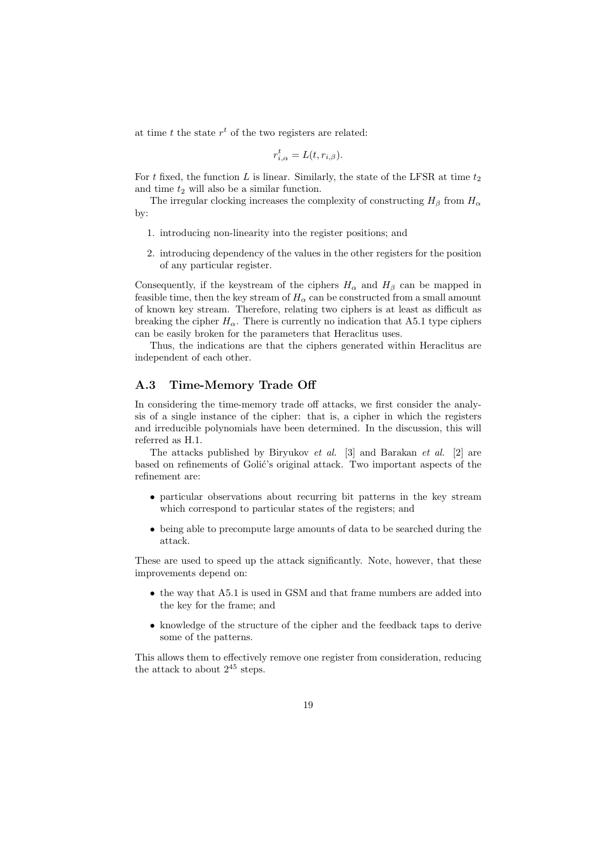at time  $t$  the state  $r<sup>t</sup>$  of the two registers are related:

$$
r_{i,\alpha}^t = L(t, r_{i,\beta}).
$$

For t fixed, the function L is linear. Similarly, the state of the LFSR at time  $t_2$ and time  $t_2$  will also be a similar function.

The irregular clocking increases the complexity of constructing  $H_\beta$  from  $H_\alpha$ by:

- 1. introducing non-linearity into the register positions; and
- 2. introducing dependency of the values in the other registers for the position of any particular register.

Consequently, if the keystream of the ciphers  $H_{\alpha}$  and  $H_{\beta}$  can be mapped in feasible time, then the key stream of  $H_{\alpha}$  can be constructed from a small amount of known key stream. Therefore, relating two ciphers is at least as difficult as breaking the cipher  $H_{\alpha}$ . There is currently no indication that A5.1 type ciphers can be easily broken for the parameters that Heraclitus uses.

Thus, the indications are that the ciphers generated within Heraclitus are independent of each other.

#### A.3 Time-Memory Trade Off

In considering the time-memory trade off attacks, we first consider the analysis of a single instance of the cipher: that is, a cipher in which the registers and irreducible polynomials have been determined. In the discussion, this will referred as H.1.

The attacks published by Biryukov et al. [3] and Barakan et al. [2] are based on refinements of Golić's original attack. Two important aspects of the refinement are:

- particular observations about recurring bit patterns in the key stream which correspond to particular states of the registers; and
- being able to precompute large amounts of data to be searched during the attack.

These are used to speed up the attack significantly. Note, however, that these improvements depend on:

- the way that A5.1 is used in GSM and that frame numbers are added into the key for the frame; and
- knowledge of the structure of the cipher and the feedback taps to derive some of the patterns.

This allows them to effectively remove one register from consideration, reducing the attack to about  $2^{45}$  steps.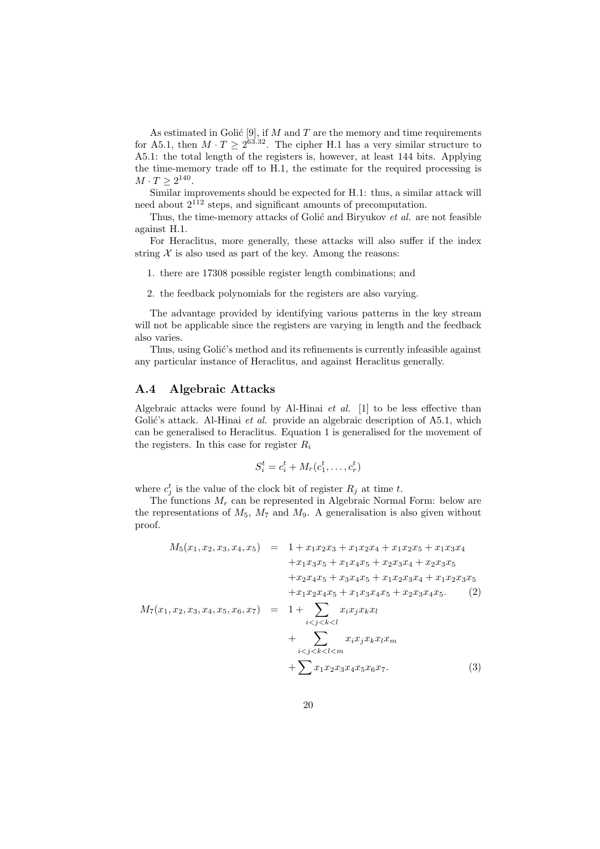As estimated in Golić [9], if  $M$  and  $T$  are the memory and time requirements for A5.1, then  $M \cdot T \geq 2^{63.32}$ . The cipher H.1 has a very similar structure to A5.1: the total length of the registers is, however, at least 144 bits. Applying the time-memory trade off to H.1, the estimate for the required processing is  $M \cdot T \geq 2^{140}.$ 

Similar improvements should be expected for H.1: thus, a similar attack will need about  $2^{112}$  steps, and significant amounts of precomputation.

Thus, the time-memory attacks of Golić and Biryukov et al. are not feasible against H.1.

For Heraclitus, more generally, these attacks will also suffer if the index string  $X$  is also used as part of the key. Among the reasons:

1. there are 17308 possible register length combinations; and

2. the feedback polynomials for the registers are also varying.

The advantage provided by identifying various patterns in the key stream will not be applicable since the registers are varying in length and the feedback also varies.

Thus, using Golić's method and its refinements is currently infeasible against any particular instance of Heraclitus, and against Heraclitus generally.

#### A.4 Algebraic Attacks

Algebraic attacks were found by Al-Hinai  $et \ al.$  [1] to be less effective than Golić's attack. Al-Hinai et al. provide an algebraic description of  $A5.1$ , which can be generalised to Heraclitus. Equation 1 is generalised for the movement of the registers. In this case for register  $R_i$ 

$$
S_i^t = c_i^t + M_r(c_1^t, \dots, c_r^t)
$$

where  $c_j^t$  is the value of the clock bit of register  $R_j$  at time t.

The functions  $M_r$  can be represented in Algebraic Normal Form: below are the representations of  $M_5$ ,  $M_7$  and  $M_9$ . A generalisation is also given without proof.

$$
M_5(x_1, x_2, x_3, x_4, x_5) = 1 + x_1x_2x_3 + x_1x_2x_4 + x_1x_2x_5 + x_1x_3x_4
$$
  
\t
$$
+ x_1x_3x_5 + x_1x_4x_5 + x_2x_3x_4 + x_2x_3x_5
$$
  
\t
$$
+ x_2x_4x_5 + x_3x_4x_5 + x_1x_2x_3x_4 + x_1x_2x_3x_5
$$
  
\t
$$
+ x_1x_2x_4x_5 + x_1x_3x_4x_5 + x_2x_3x_4x_5. (2)
$$
  
\t
$$
M_7(x_1, x_2, x_3, x_4, x_5, x_6, x_7) = 1 + \sum_{i < j < k < l} x_ix_jx_kx_l
$$
  
\t
$$
+ \sum_{i < j < k < l < m} x_ix_jx_kx_lx_m
$$
  
\t
$$
+ \sum_{i < j < k < l < m} x_1x_2x_3x_4x_5x_6x_7. (3)
$$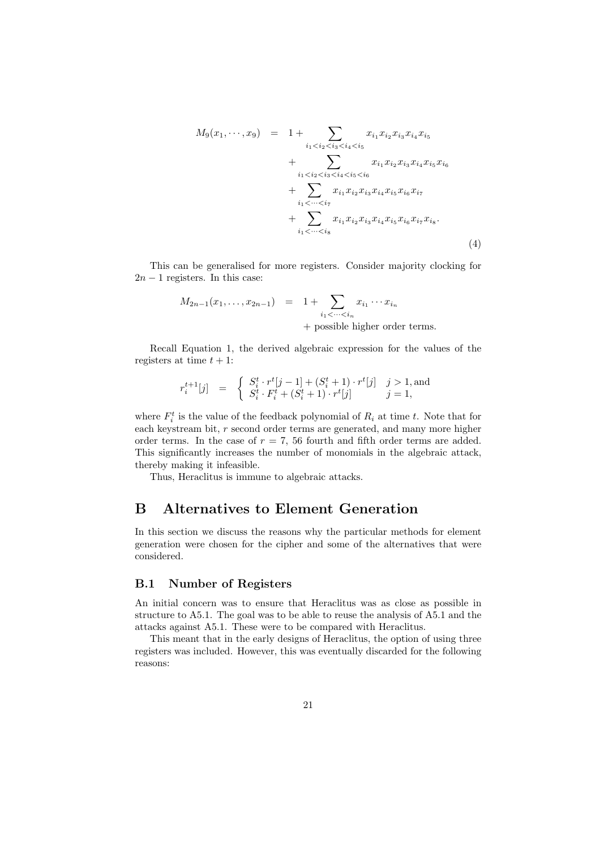$$
M_{9}(x_{1},\dots,x_{9}) = 1 + \sum_{i_{1} < i_{2} < i_{3} < i_{4} < i_{5}} x_{i_{1}} x_{i_{2}} x_{i_{3}} x_{i_{4}} x_{i_{5}} + \sum_{i_{1} < i_{2} < i_{3} < i_{4} < i_{5} < i_{6}} x_{i_{1}} x_{i_{2}} x_{i_{3}} x_{i_{4}} x_{i_{5}} x_{i_{6}} + \sum_{i_{1} < \dots < i_{7}} x_{i_{1}} x_{i_{2}} x_{i_{3}} x_{i_{4}} x_{i_{5}} x_{i_{6}} x_{i_{7}} + \sum_{i_{1} < \dots < i_{8}} x_{i_{1}} x_{i_{2}} x_{i_{3}} x_{i_{4}} x_{i_{5}} x_{i_{6}} x_{i_{7}} x_{i_{8}}.
$$
\n
$$
(4)
$$

This can be generalised for more registers. Consider majority clocking for  $2n - 1$  registers. In this case:

$$
M_{2n-1}(x_1,\ldots,x_{2n-1}) = 1 + \sum_{i_1 < \cdots < i_n} x_{i_1} \cdots x_{i_n}
$$
  
+ possible higher order terms.

Recall Equation 1, the derived algebraic expression for the values of the registers at time  $t + 1$ :

$$
r_i^{t+1}[j] = \begin{cases} S_i^t \cdot r^t[j-1] + (S_i^t + 1) \cdot r^t[j] & j > 1, \text{and} \\ S_i^t \cdot F_i^t + (S_i^t + 1) \cdot r^t[j] & j = 1, \end{cases}
$$

where  $F_i^t$  is the value of the feedback polynomial of  $R_i$  at time t. Note that for each keystream bit, r second order terms are generated, and many more higher order terms. In the case of  $r = 7$ , 56 fourth and fifth order terms are added. This significantly increases the number of monomials in the algebraic attack, thereby making it infeasible.

Thus, Heraclitus is immune to algebraic attacks.

# B Alternatives to Element Generation

In this section we discuss the reasons why the particular methods for element generation were chosen for the cipher and some of the alternatives that were considered.

### B.1 Number of Registers

An initial concern was to ensure that Heraclitus was as close as possible in structure to A5.1. The goal was to be able to reuse the analysis of A5.1 and the attacks against A5.1. These were to be compared with Heraclitus.

This meant that in the early designs of Heraclitus, the option of using three registers was included. However, this was eventually discarded for the following reasons: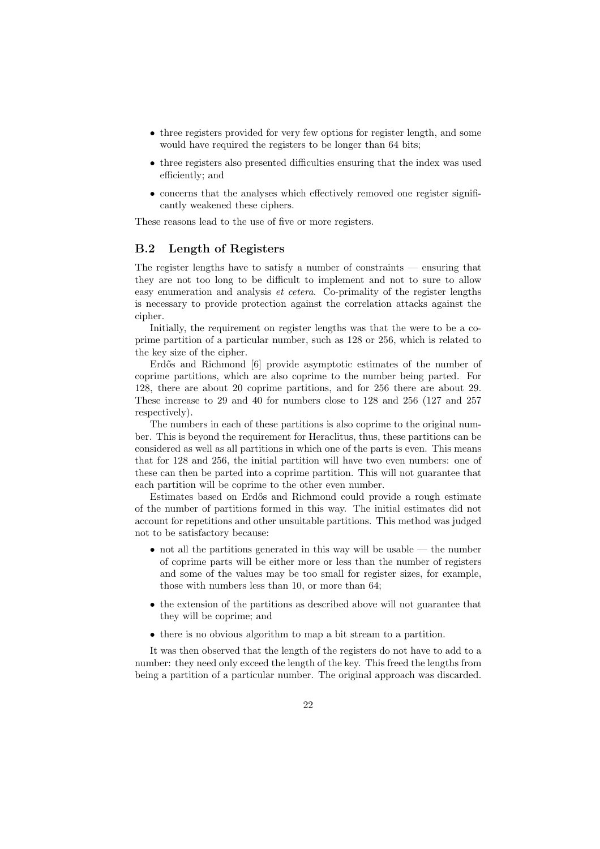- three registers provided for very few options for register length, and some would have required the registers to be longer than 64 bits;
- three registers also presented difficulties ensuring that the index was used efficiently; and
- concerns that the analyses which effectively removed one register significantly weakened these ciphers.

These reasons lead to the use of five or more registers.

#### B.2 Length of Registers

The register lengths have to satisfy a number of constraints — ensuring that they are not too long to be difficult to implement and not to sure to allow easy enumeration and analysis et cetera. Co-primality of the register lengths is necessary to provide protection against the correlation attacks against the cipher.

Initially, the requirement on register lengths was that the were to be a coprime partition of a particular number, such as 128 or 256, which is related to the key size of the cipher.

Erdős and Richmond [6] provide asymptotic estimates of the number of coprime partitions, which are also coprime to the number being parted. For 128, there are about 20 coprime partitions, and for 256 there are about 29. These increase to 29 and 40 for numbers close to 128 and 256 (127 and 257 respectively).

The numbers in each of these partitions is also coprime to the original number. This is beyond the requirement for Heraclitus, thus, these partitions can be considered as well as all partitions in which one of the parts is even. This means that for 128 and 256, the initial partition will have two even numbers: one of these can then be parted into a coprime partition. This will not guarantee that each partition will be coprime to the other even number.

Estimates based on Erd˝os and Richmond could provide a rough estimate of the number of partitions formed in this way. The initial estimates did not account for repetitions and other unsuitable partitions. This method was judged not to be satisfactory because:

- not all the partitions generated in this way will be usable the number of coprime parts will be either more or less than the number of registers and some of the values may be too small for register sizes, for example, those with numbers less than 10, or more than 64;
- the extension of the partitions as described above will not guarantee that they will be coprime; and
- there is no obvious algorithm to map a bit stream to a partition.

It was then observed that the length of the registers do not have to add to a number: they need only exceed the length of the key. This freed the lengths from being a partition of a particular number. The original approach was discarded.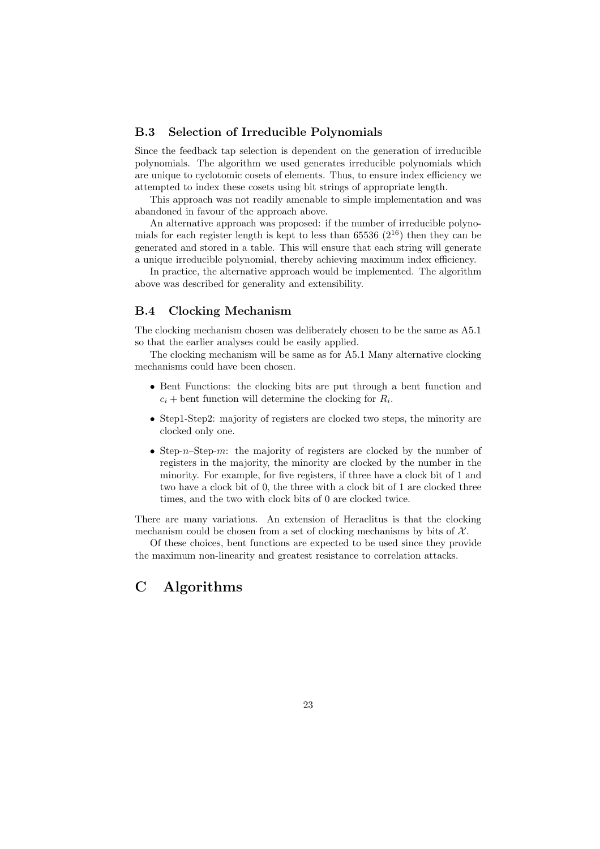### B.3 Selection of Irreducible Polynomials

Since the feedback tap selection is dependent on the generation of irreducible polynomials. The algorithm we used generates irreducible polynomials which are unique to cyclotomic cosets of elements. Thus, to ensure index efficiency we attempted to index these cosets using bit strings of appropriate length.

This approach was not readily amenable to simple implementation and was abandoned in favour of the approach above.

An alternative approach was proposed: if the number of irreducible polynomials for each register length is kept to less than 65536  $(2^{16})$  then they can be generated and stored in a table. This will ensure that each string will generate a unique irreducible polynomial, thereby achieving maximum index efficiency.

In practice, the alternative approach would be implemented. The algorithm above was described for generality and extensibility.

#### B.4 Clocking Mechanism

The clocking mechanism chosen was deliberately chosen to be the same as A5.1 so that the earlier analyses could be easily applied.

The clocking mechanism will be same as for A5.1 Many alternative clocking mechanisms could have been chosen.

- Bent Functions: the clocking bits are put through a bent function and  $c_i$  + bent function will determine the clocking for  $R_i$ .
- Step1-Step2: majority of registers are clocked two steps, the minority are clocked only one.
- Step-n–Step-m: the majority of registers are clocked by the number of registers in the majority, the minority are clocked by the number in the minority. For example, for five registers, if three have a clock bit of 1 and two have a clock bit of 0, the three with a clock bit of 1 are clocked three times, and the two with clock bits of 0 are clocked twice.

There are many variations. An extension of Heraclitus is that the clocking mechanism could be chosen from a set of clocking mechanisms by bits of  $\mathcal{X}$ .

Of these choices, bent functions are expected to be used since they provide the maximum non-linearity and greatest resistance to correlation attacks.

# C Algorithms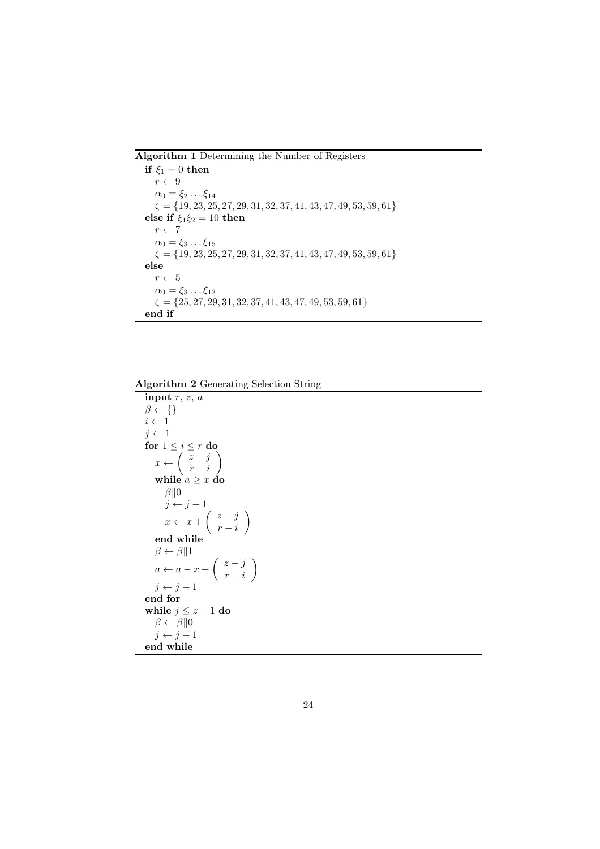Algorithm 1 Determining the Number of Registers

```
if \xi_1 = 0 then
   r \leftarrow 9\alpha_0 = \xi_2 \dots \xi_{14}\zeta = \{19, 23, 25, 27, 29, 31, 32, 37, 41, 43, 47, 49, 53, 59, 61\}else if \xi_1 \xi_2 = 10 then
   r \leftarrow 7\alpha_0 = \xi_3 \dots \xi_{15}\zeta = \{19, 23, 25, 27, 29, 31, 32, 37, 41, 43, 47, 49, 53, 59, 61\}else
   r \leftarrow 5\alpha_0 = \xi_3 \dots \xi_{12}\zeta = \{25, 27, 29, 31, 32, 37, 41, 43, 47, 49, 53, 59, 61\}end if
```
### Algorithm 2 Generating Selection String

```
input r, z, a\beta \leftarrow \{\}i \leftarrow 1j \leftarrow 1for 1 \leq i \leq r do
     x \leftarrow \begin{pmatrix} z - j \\ z - j \end{pmatrix}r - i\setminuswhile a \geq x do
         \beta||0
        j \leftarrow j + 1x \leftarrow x + \begin{pmatrix} z - j \\ z - j \end{pmatrix}r - i\setminusend while
    \beta \leftarrow \beta \| 1a \leftarrow a - x + \left( \begin{array}{c} z - j \\ z - i \end{array} \right)r - i\setminusj \leftarrow j + 1end for
while j \leq z + 1 do
    \beta \leftarrow \beta \| 0j \leftarrow j + 1end while
```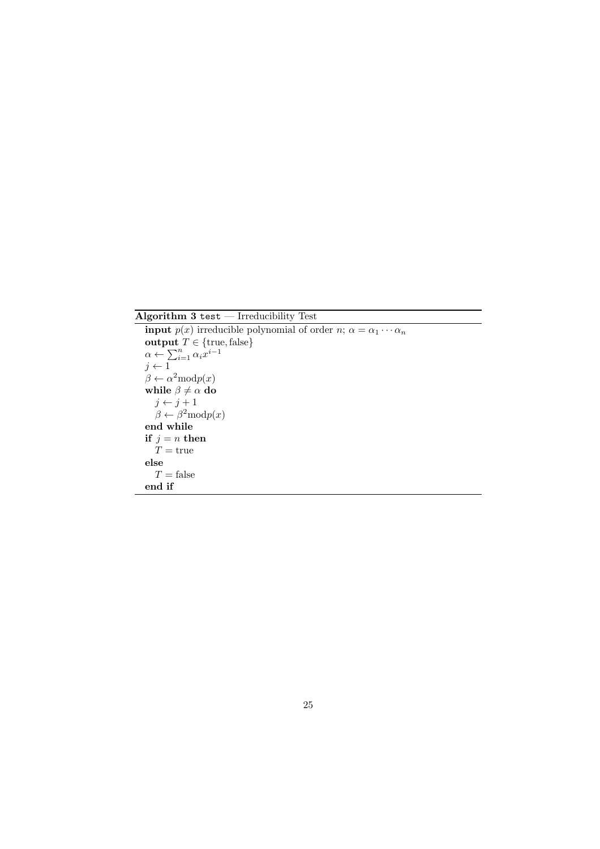Algorithm  $3$  test  $-$  Irreducibility Test  $\,$ 

**input**  $p(x)$  irreducible polynomial of order  $n; \alpha = \alpha_1 \cdots \alpha_n$ output  $T \in \{\text{true}, \text{false}\}$  $\alpha \leftarrow \sum_{i=1}^n \alpha_i x^{i-1}$  $j \leftarrow 1$  $\beta \leftarrow \alpha^2 \text{mod} p(x)$ while  $\beta\neq \alpha$  do  $j \leftarrow j + 1$  $\beta \leftarrow \beta^2 \text{mod} p(x)$ end while if  $j = n$  then  $\check{T}$  = true else  $T =$ false end if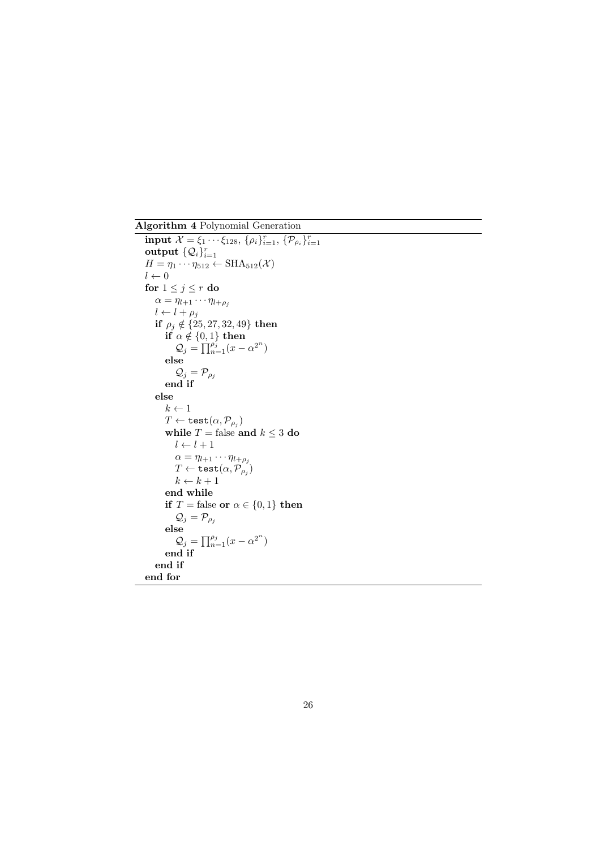Algorithm 4 Polynomial Generation

input  $\mathcal{X} = \xi_1 \cdots \xi_{128}, \{\rho_i\}_{i=1}^r, \{\mathcal{P}_{\rho_i}\}_{i=1}^r$ output  $\{\mathcal{Q}_i\}_{i=1}^r$  $H = \eta_1 \cdots \eta_{512} \leftarrow \text{SHA}_{512}(\mathcal{X})$  $l \leftarrow 0$ for  $1 \leq j \leq r$  do  $\alpha = \eta_{l+1} \cdots \eta_{l+\rho_j}$  $l \leftarrow l + \rho_j$ if  $\rho_j \notin \{25, 27, 32, 49\}$  then if  $\alpha \notin \{0, 1\}$  then  $\mathcal{Q}_j = \prod_{n=1}^{\rho_j} (x - \alpha^{2^n})$ else  $\mathcal{Q}_j = \mathcal{P}_{\rho_j}$ end if else  $k \leftarrow 1$  $T \leftarrow \texttt{test}(\alpha, \mathcal{P}_{\rho_j})$ while  $T =$  false and  $k \leq 3$  do  $l \leftarrow l + 1$  $\alpha = \eta_{l+1} \cdots \eta_{l+\rho_j}$  $T \leftarrow \texttt{test}(\alpha, \overline{\mathcal{P}}_{\rho_j})$  $k \leftarrow k + 1$ end while if  $T =$  false or  $\alpha \in \{0, 1\}$  then  $\mathcal{Q}_j = \mathcal{P}_{\rho_j}$ else  $\mathcal{Q}_j = \prod_{n=1}^{\rho_j} (x - \alpha^{2^n})$ end if end if end for